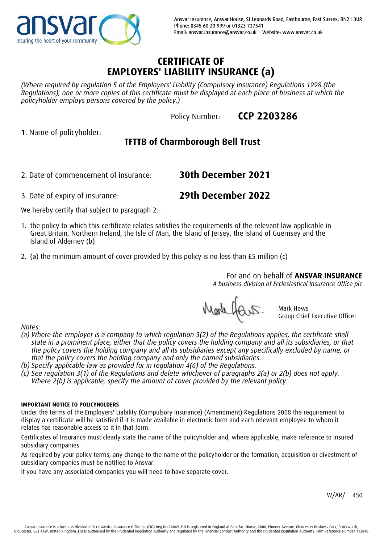

**CCP 2203286**

## **CERTIFICATE OF EMPLOYERS' LIABILITY INSURANCE (a)**

*(Where required by regulation 5 of the Employers' Liability (Compulsory Insurance) Regulations 1998 (the Regulations), one or more copies of this certificate must be displayed at each place of business at which the policyholder employs persons covered by the policy.)*

Policy Number:

1. Name of policyholder:

# **TFTTB of Charmborough Bell Trust**

2. Date of commencement of insurance:

**29th December 2022**

**30th December 2021**

We hereby certify that subject to paragraph 2:-

3. Date of expiry of insurance:

- 1. the policy to which this certificate relates satisfies the requirements of the relevant law applicable in Great Britain, Northern Ireland, the Isle of Man, the Island of Jersey, the Island of Guernsey and the Island of Alderney (b)
- 2. (a) the minimum amount of cover provided by this policy is no less than £5 million (c)

For and on behalf of **ANSVAR INSURANCE**

*A business division of Ecclesiastical Insurance Office plc*

Markhars.

Mark Hews Group Chief Executive Officer

*Notes:*

- *(a) Where the employer is a company to which regulation 3(2) of the Regulations applies, the certificate shall state in a prominent place, either that the policy covers the holding company and all its subsidiaries, or that the policy covers the holding company and all its subsidiaries except any specifically excluded by name, or that the policy covers the holding company and only the named subsidiaries.*
- *(b) Specify applicable law as provided for in regulation 4(6) of the Regulations.*
- *(c) See regulation 3(1) of the Regulations and delete whichever of paragraphs 2(a) or 2(b) does not apply. Where 2(b) is applicable, specify the amount of cover provided by the relevant policy.*

### **IMPORTANT NOTICE TO POLICYHOLDERS**

Under the terms of the Employers' Liability (Compulsory Insurance) (Amendment) Regulations 2008 the requirement to display a certificate will be satisfied if it is made available in electronic form and each relevant employee to whom it relates has reasonable access to it in that form.

Certificates of Insurance must clearly state the name of the policyholder and, where applicable, make reference to insured subsidiary companies.

As required by your policy terms, any change to the name of the policyholder or the formation, acquisition or divestment of subsidiary companies must be notified to Ansvar.

If you have any associated companies you will need to have separate cover.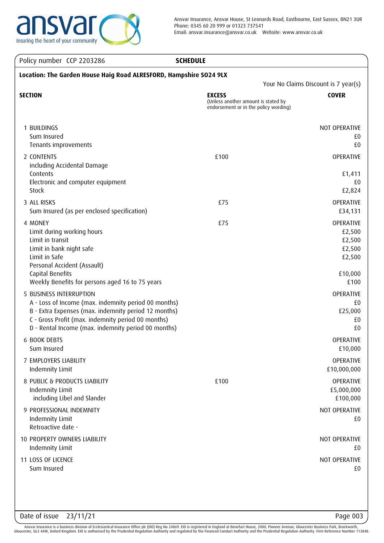

Ansvar Insurance, Ansvar House, St Leonards Road, Eastbourne, East Sussex, BN21 3UR Phone: 0345 60 20 999 or 01323 737541 Email: ansvar.insurance@ansvar.co.uk Website: www.ansvar.co.uk

## Policy number CCP 2203286 **SCHEDULE**

| Location: The Garden House Haig Road ALRESFORD, Hampshire SO24 9LX                                                                                                                                                                                   |                                                                                               |                                                                      |  |
|------------------------------------------------------------------------------------------------------------------------------------------------------------------------------------------------------------------------------------------------------|-----------------------------------------------------------------------------------------------|----------------------------------------------------------------------|--|
| <b>SECTION</b>                                                                                                                                                                                                                                       | <b>EXCESS</b><br>(Unless another amount is stated by<br>endorsement or in the policy wording) | Your No Claims Discount is 7 year(s)<br><b>COVER</b>                 |  |
| 1 BUILDINGS<br>Sum Insured<br>Tenants improvements                                                                                                                                                                                                   |                                                                                               | NOT OPERATIVE<br>£0<br>£0                                            |  |
| 2 CONTENTS<br>including Accidental Damage<br>Contents<br>Electronic and computer equipment<br>Stock                                                                                                                                                  | £100                                                                                          | OPERATIVE<br>£1,411<br>£0<br>£2,824                                  |  |
| 3 ALL RISKS<br>Sum Insured (as per enclosed specification)                                                                                                                                                                                           | £75                                                                                           | OPERATIVE<br>£34,131                                                 |  |
| 4 MONEY<br>Limit during working hours<br>Limit in transit<br>Limit in bank night safe<br>Limit in Safe<br>Personal Accident (Assault)<br>Capital Benefits<br>Weekly Benefits for persons aged 16 to 75 years                                         | £75                                                                                           | OPERATIVE<br>£2,500<br>£2,500<br>£2,500<br>£2,500<br>£10,000<br>£100 |  |
| 5 BUSINESS INTERRUPTION<br>A - Loss of Income (max. indemnity period 00 months)<br>B - Extra Expenses (max. indemnity period 12 months)<br>C - Gross Profit (max. indemnity period 00 months)<br>D - Rental Income (max. indemnity period 00 months) |                                                                                               | OPERATIVE<br>£0<br>£25,000<br>£0<br>£0                               |  |
| <b>6 BOOK DEBTS</b><br>Sum Insured                                                                                                                                                                                                                   |                                                                                               | OPERATIVE<br>£10,000                                                 |  |
| 7 EMPLOYERS LIABILITY<br>Indemnity Limit                                                                                                                                                                                                             |                                                                                               | OPERATIVE<br>£10,000,000                                             |  |
| 8 PUBLIC & PRODUCTS LIABILITY<br>Indemnity Limit<br>including Libel and Slander                                                                                                                                                                      | £100                                                                                          | OPERATIVE<br>£5,000,000<br>£100,000                                  |  |
| 9 PROFESSIONAL INDEMNITY<br>Indemnity Limit<br>Retroactive date -                                                                                                                                                                                    |                                                                                               | NOT OPERATIVE<br>£0                                                  |  |
| 10 PROPERTY OWNERS LIABILITY<br>Indemnity Limit                                                                                                                                                                                                      |                                                                                               | NOT OPERATIVE<br>£0                                                  |  |
| 11 LOSS OF LICENCE<br>Sum Insured                                                                                                                                                                                                                    |                                                                                               | NOT OPERATIVE<br>£0                                                  |  |

Date of issue 23/11/21 Page 003

Ansvar Insurance is a business division of Ecclesiastical Insurance Office plc (EIO) Reg No 24869. EIO is registered in England at Benefact House, 2000, Pioneer Avenue, Gloucester Business Park, Brockworth, Gloucester, GL3 4AW, United Kingdom. EIO is authorised by the Prudential Regulation Authority and regulated by the Financial Conduct Authority and the Prudential Regulation Authority. Firm Reference Number 113848.